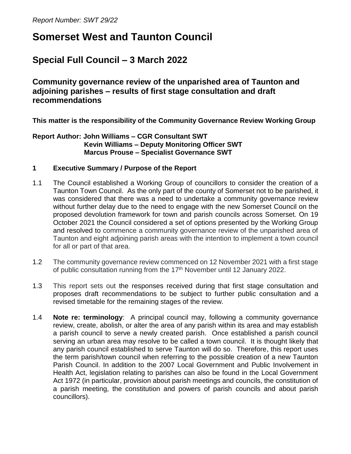# **Somerset West and Taunton Council**

## **Special Full Council – 3 March 2022**

**Community governance review of the unparished area of Taunton and adjoining parishes – results of first stage consultation and draft recommendations** 

**This matter is the responsibility of the Community Governance Review Working Group** 

**Report Author: John Williams – CGR Consultant SWT Kevin Williams – Deputy Monitoring Officer SWT Marcus Prouse – Specialist Governance SWT**

## **1 Executive Summary / Purpose of the Report**

- 1.1 The Council established a Working Group of councillors to consider the creation of a Taunton Town Council. As the only part of the county of Somerset not to be parished, it was considered that there was a need to undertake a community governance review without further delay due to the need to engage with the new Somerset Council on the proposed devolution framework for town and parish councils across Somerset. On 19 October 2021 the Council considered a set of options presented by the Working Group and resolved to commence a community governance review of the unparished area of Taunton and eight adjoining parish areas with the intention to implement a town council for all or part of that area.
- 1.2 The community governance review commenced on 12 November 2021 with a first stage of public consultation running from the 17th November until 12 January 2022.
- 1.3 This report sets out the responses received during that first stage consultation and proposes draft recommendations to be subject to further public consultation and a revised timetable for the remaining stages of the review.
- 1.4 **Note re: terminology**: A principal council may, following a community governance review, create, abolish, or alter the area of any parish within its area and may establish a parish council to serve a newly created parish. Once established a parish council serving an urban area may resolve to be called a town council. It is thought likely that any parish council established to serve Taunton will do so. Therefore, this report uses the term parish/town council when referring to the possible creation of a new Taunton Parish Council. In addition to the 2007 Local Government and Public Involvement in Health Act, legislation relating to parishes can also be found in the Local Government Act 1972 (in particular, provision about parish meetings and councils, the constitution of a parish meeting, the constitution and powers of parish councils and about parish councillors).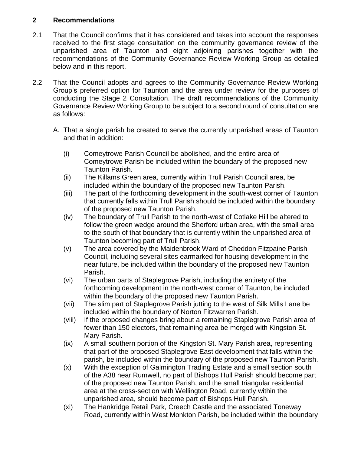## **2 Recommendations**

- 2.1 That the Council confirms that it has considered and takes into account the responses received to the first stage consultation on the community governance review of the unparished area of Taunton and eight adjoining parishes together with the recommendations of the Community Governance Review Working Group as detailed below and in this report.
- 2.2 That the Council adopts and agrees to the Community Governance Review Working Group's preferred option for Taunton and the area under review for the purposes of conducting the Stage 2 Consultation. The draft recommendations of the Community Governance Review Working Group to be subject to a second round of consultation are as follows:
	- A. That a single parish be created to serve the currently unparished areas of Taunton and that in addition:
		- (i) Comeytrowe Parish Council be abolished, and the entire area of Comeytrowe Parish be included within the boundary of the proposed new Taunton Parish.
		- (ii) The Killams Green area, currently within Trull Parish Council area, be included within the boundary of the proposed new Taunton Parish.
		- (iii) The part of the forthcoming development in the south-west corner of Taunton that currently falls within Trull Parish should be included within the boundary of the proposed new Taunton Parish.
		- (iv) The boundary of Trull Parish to the north-west of Cotlake Hill be altered to follow the green wedge around the Sherford urban area, with the small area to the south of that boundary that is currently within the unparished area of Taunton becoming part of Trull Parish.
		- (v) The area covered by the Maidenbrook Ward of Cheddon Fitzpaine Parish Council, including several sites earmarked for housing development in the near future, be included within the boundary of the proposed new Taunton Parish.
		- (vi) The urban parts of Staplegrove Parish, including the entirety of the forthcoming development in the north-west corner of Taunton, be included within the boundary of the proposed new Taunton Parish.
		- (vii) The slim part of Staplegrove Parish jutting to the west of Silk Mills Lane be included within the boundary of Norton Fitzwarren Parish.
		- (viii) If the proposed changes bring about a remaining Staplegrove Parish area of fewer than 150 electors, that remaining area be merged with Kingston St. Mary Parish.
		- (ix) A small southern portion of the Kingston St. Mary Parish area, representing that part of the proposed Staplegrove East development that falls within the parish, be included within the boundary of the proposed new Taunton Parish.
		- (x) With the exception of Galmington Trading Estate and a small section south of the A38 near Rumwell, no part of Bishops Hull Parish should become part of the proposed new Taunton Parish, and the small triangular residential area at the cross-section with Wellington Road, currently within the unparished area, should become part of Bishops Hull Parish.
		- (xi) The Hankridge Retail Park, Creech Castle and the associated Toneway Road, currently within West Monkton Parish, be included within the boundary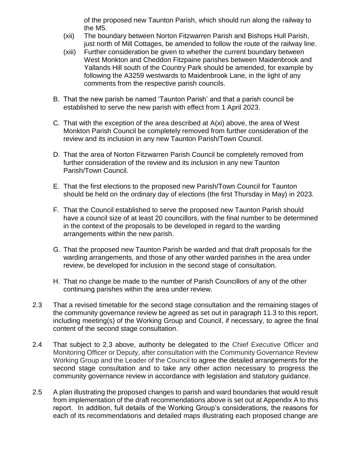of the proposed new Taunton Parish, which should run along the railway to the M5.

- (xii) The boundary between Norton Fitzwarren Parish and Bishops Hull Parish, just north of Mill Cottages, be amended to follow the route of the railway line.
- (xiii) Further consideration be given to whether the current boundary between West Monkton and Cheddon Fitzpaine parishes between Maidenbrook and Yallands Hill south of the Country Park should be amended, for example by following the A3259 westwards to Maidenbrook Lane, in the light of any comments from the respective parish councils.
- B. That the new parish be named 'Taunton Parish' and that a parish council be established to serve the new parish with effect from 1 April 2023.
- C. That with the exception of the area described at A(xi) above, the area of West Monkton Parish Council be completely removed from further consideration of the review and its inclusion in any new Taunton Parish/Town Council.
- D. That the area of Norton Fitzwarren Parish Council be completely removed from further consideration of the review and its inclusion in any new Taunton Parish/Town Council.
- E. That the first elections to the proposed new Parish/Town Council for Taunton should be held on the ordinary day of elections (the first Thursday in May) in 2023.
- F. That the Council established to serve the proposed new Taunton Parish should have a council size of at least 20 councillors, with the final number to be determined in the context of the proposals to be developed in regard to the warding arrangements within the new parish.
- G. That the proposed new Taunton Parish be warded and that draft proposals for the warding arrangements, and those of any other warded parishes in the area under review, be developed for inclusion in the second stage of consultation.
- H. That no change be made to the number of Parish Councillors of any of the other continuing parishes within the area under review.
- 2.3 That a revised timetable for the second stage consultation and the remaining stages of the community governance review be agreed as set out in paragraph 11.3 to this report, including meeting(s) of the Working Group and Council, if necessary, to agree the final content of the second stage consultation.
- 2.4 That subject to 2.3 above, authority be delegated to the Chief Executive Officer and Monitoring Officer or Deputy, after consultation with the Community Governance Review Working Group and the Leader of the Council to agree the detailed arrangements for the second stage consultation and to take any other action necessary to progress the community governance review in accordance with legislation and statutory guidance.
- 2.5 A plan illustrating the proposed changes to parish and ward boundaries that would result from implementation of the draft recommendations above is set out at Appendix A to this report. In addition, full details of the Working Group's considerations, the reasons for each of its recommendations and detailed maps illustrating each proposed change are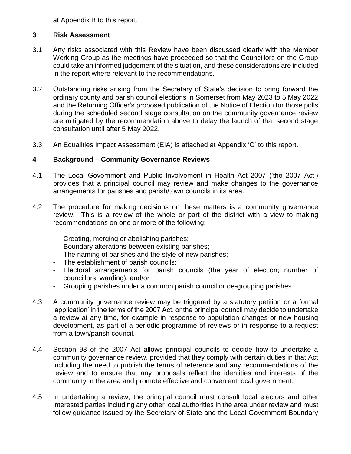at Appendix B to this report.

## **3 Risk Assessment**

- 3.1 Any risks associated with this Review have been discussed clearly with the Member Working Group as the meetings have proceeded so that the Councillors on the Group could take an informed judgement of the situation, and these considerations are included in the report where relevant to the recommendations.
- 3.2 Outstanding risks arising from the Secretary of State's decision to bring forward the ordinary county and parish council elections in Somerset from May 2023 to 5 May 2022 and the Returning Officer's proposed publication of the Notice of Election for those polls during the scheduled second stage consultation on the community governance review are mitigated by the recommendation above to delay the launch of that second stage consultation until after 5 May 2022.
- 3.3 An Equalities Impact Assessment (EIA) is attached at Appendix 'C' to this report.

## **4 Background – Community Governance Reviews**

- 4.1 The Local Government and Public Involvement in Health Act 2007 ('the 2007 Act') provides that a principal council may review and make changes to the governance arrangements for parishes and parish/town councils in its area.
- 4.2 The procedure for making decisions on these matters is a community governance review. This is a review of the whole or part of the district with a view to making recommendations on one or more of the following:
	- Creating, merging or abolishing parishes;
	- Boundary alterations between existing parishes;
	- The naming of parishes and the style of new parishes;
	- The establishment of parish councils;
	- Electoral arrangements for parish councils (the year of election; number of councillors; warding), and/or
	- Grouping parishes under a common parish council or de-grouping parishes.
- 4.3 A community governance review may be triggered by a statutory petition or a formal 'application' in the terms of the 2007 Act, or the principal council may decide to undertake a review at any time, for example in response to population changes or new housing development, as part of a periodic programme of reviews or in response to a request from a town/parish council.
- 4.4 Section 93 of the 2007 Act allows principal councils to decide how to undertake a community governance review, provided that they comply with certain duties in that Act including the need to publish the terms of reference and any recommendations of the review and to ensure that any proposals reflect the identities and interests of the community in the area and promote effective and convenient local government.
- 4.5 In undertaking a review, the principal council must consult local electors and other interested parties including any other local authorities in the area under review and must follow guidance issued by the Secretary of State and the Local Government Boundary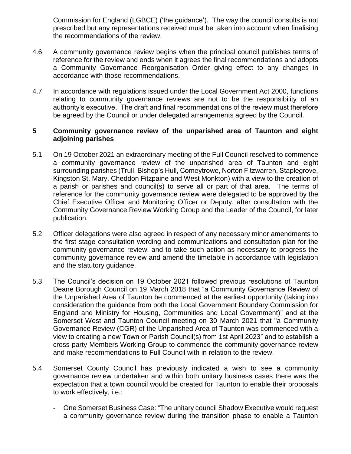Commission for England (LGBCE) ('the guidance'). The way the council consults is not prescribed but any representations received must be taken into account when finalising the recommendations of the review.

- 4.6 A community governance review begins when the principal council publishes terms of reference for the review and ends when it agrees the final recommendations and adopts a Community Governance Reorganisation Order giving effect to any changes in accordance with those recommendations.
- 4.7 In accordance with regulations issued under the Local Government Act 2000, functions relating to community governance reviews are not to be the responsibility of an authority's executive. The draft and final recommendations of the review must therefore be agreed by the Council or under delegated arrangements agreed by the Council.

## **5 Community governance review of the unparished area of Taunton and eight adjoining parishes**

- 5.1 On 19 October 2021 an extraordinary meeting of the Full Council resolved to commence a community governance review of the unparished area of Taunton and eight surrounding parishes (Trull, Bishop's Hull, Comeytrowe, Norton Fitzwarren, Staplegrove, Kingston St. Mary, Cheddon Fitzpaine and West Monkton) with a view to the creation of a parish or parishes and council(s) to serve all or part of that area. The terms of reference for the community governance review were delegated to be approved by the Chief Executive Officer and Monitoring Officer or Deputy, after consultation with the Community Governance Review Working Group and the Leader of the Council, for later publication.
- 5.2 Officer delegations were also agreed in respect of any necessary minor amendments to the first stage consultation wording and communications and consultation plan for the community governance review, and to take such action as necessary to progress the community governance review and amend the timetable in accordance with legislation and the statutory guidance.
- 5.3 The Council's decision on 19 October 2021 followed previous resolutions of Taunton Deane Borough Council on 19 March 2018 that "a Community Governance Review of the Unparished Area of Taunton be commenced at the earliest opportunity (taking into consideration the guidance from both the Local Government Boundary Commission for England and Ministry for Housing, Communities and Local Government)" and at the Somerset West and Taunton Council meeting on 30 March 2021 that "a Community Governance Review (CGR) of the Unparished Area of Taunton was commenced with a view to creating a new Town or Parish Council(s) from 1st April 2023" and to establish a cross-party Members Working Group to commence the community governance review and make recommendations to Full Council with in relation to the review.
- 5.4 Somerset County Council has previously indicated a wish to see a community governance review undertaken and within both unitary business cases there was the expectation that a town council would be created for Taunton to enable their proposals to work effectively, i.e.:
	- One Somerset Business Case: "The unitary council Shadow Executive would request a community governance review during the transition phase to enable a Taunton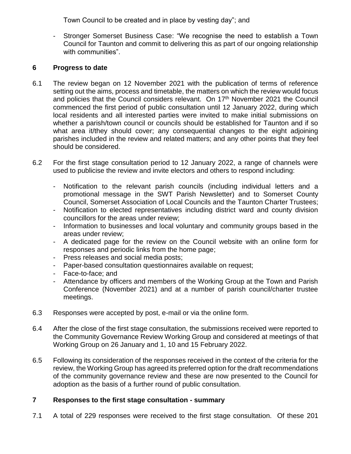Town Council to be created and in place by vesting day"; and

- Stronger Somerset Business Case: "We recognise the need to establish a Town Council for Taunton and commit to delivering this as part of our ongoing relationship with communities".

## **6 Progress to date**

- 6.1 The review began on 12 November 2021 with the publication of terms of reference setting out the aims, process and timetable, the matters on which the review would focus and policies that the Council considers relevant. On 17<sup>th</sup> November 2021 the Council commenced the first period of public consultation until 12 January 2022, during which local residents and all interested parties were invited to make initial submissions on whether a parish/town council or councils should be established for Taunton and if so what area it/they should cover; any consequential changes to the eight adjoining parishes included in the review and related matters; and any other points that they feel should be considered.
- 6.2 For the first stage consultation period to 12 January 2022, a range of channels were used to publicise the review and invite electors and others to respond including:
	- Notification to the relevant parish councils (including individual letters and a promotional message in the SWT Parish Newsletter) and to Somerset County Council, Somerset Association of Local Councils and the Taunton Charter Trustees;
	- Notification to elected representatives including district ward and county division councillors for the areas under review;
	- Information to businesses and local voluntary and community groups based in the areas under review;
	- A dedicated page for the review on the Council website with an online form for responses and periodic links from the home page;
	- Press releases and social media posts;
	- Paper-based consultation questionnaires available on request;
	- Face-to-face; and
	- Attendance by officers and members of the Working Group at the Town and Parish Conference (November 2021) and at a number of parish council/charter trustee meetings.
- 6.3 Responses were accepted by post, e-mail or via the online form.
- 6.4 After the close of the first stage consultation, the submissions received were reported to the Community Governance Review Working Group and considered at meetings of that Working Group on 26 January and 1, 10 and 15 February 2022.
- 6.5 Following its consideration of the responses received in the context of the criteria for the review, the Working Group has agreed its preferred option for the draft recommendations of the community governance review and these are now presented to the Council for adoption as the basis of a further round of public consultation.

## **7 Responses to the first stage consultation - summary**

7.1 A total of 229 responses were received to the first stage consultation. Of these 201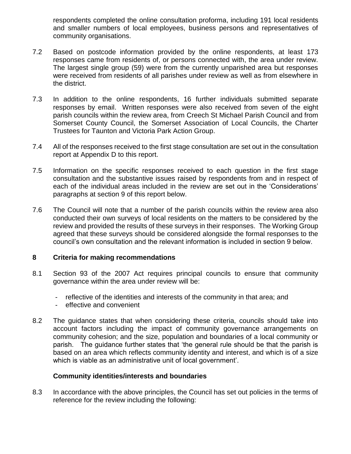respondents completed the online consultation proforma, including 191 local residents and smaller numbers of local employees, business persons and representatives of community organisations.

- 7.2 Based on postcode information provided by the online respondents, at least 173 responses came from residents of, or persons connected with, the area under review. The largest single group (59) were from the currently unparished area but responses were received from residents of all parishes under review as well as from elsewhere in the district.
- 7.3 In addition to the online respondents, 16 further individuals submitted separate responses by email. Written responses were also received from seven of the eight parish councils within the review area, from Creech St Michael Parish Council and from Somerset County Council, the Somerset Association of Local Councils, the Charter Trustees for Taunton and Victoria Park Action Group.
- 7.4 All of the responses received to the first stage consultation are set out in the consultation report at Appendix D to this report.
- 7.5 Information on the specific responses received to each question in the first stage consultation and the substantive issues raised by respondents from and in respect of each of the individual areas included in the review are set out in the 'Considerations' paragraphs at section 9 of this report below.
- 7.6 The Council will note that a number of the parish councils within the review area also conducted their own surveys of local residents on the matters to be considered by the review and provided the results of these surveys in their responses. The Working Group agreed that these surveys should be considered alongside the formal responses to the council's own consultation and the relevant information is included in section 9 below.

## **8 Criteria for making recommendations**

- 8.1 Section 93 of the 2007 Act requires principal councils to ensure that community governance within the area under review will be:
	- reflective of the identities and interests of the community in that area; and
	- effective and convenient
- 8.2 The guidance states that when considering these criteria, councils should take into account factors including the impact of community governance arrangements on community cohesion; and the size, population and boundaries of a local community or parish. The guidance further states that 'the general rule should be that the parish is based on an area which reflects community identity and interest, and which is of a size which is viable as an administrative unit of local government'.

## **Community identities/interests and boundaries**

8.3 In accordance with the above principles, the Council has set out policies in the terms of reference for the review including the following: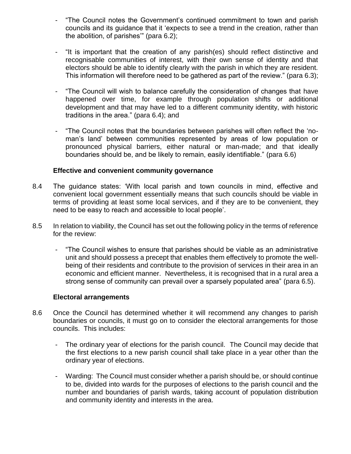- "The Council notes the Government's continued commitment to town and parish councils and its guidance that it 'expects to see a trend in the creation, rather than the abolition, of parishes'" (para 6.2);
- "It is important that the creation of any parish(es) should reflect distinctive and recognisable communities of interest, with their own sense of identity and that electors should be able to identify clearly with the parish in which they are resident. This information will therefore need to be gathered as part of the review." (para 6.3);
- "The Council will wish to balance carefully the consideration of changes that have happened over time, for example through population shifts or additional development and that may have led to a different community identity, with historic traditions in the area." (para 6.4); and
- "The Council notes that the boundaries between parishes will often reflect the 'noman's land' between communities represented by areas of low population or pronounced physical barriers, either natural or man-made; and that ideally boundaries should be, and be likely to remain, easily identifiable." (para 6.6)

## **Effective and convenient community governance**

- 8.4 The guidance states: 'With local parish and town councils in mind, effective and convenient local government essentially means that such councils should be viable in terms of providing at least some local services, and if they are to be convenient, they need to be easy to reach and accessible to local people'.
- 8.5 In relation to viability, the Council has set out the following policy in the terms of reference for the review:
	- "The Council wishes to ensure that parishes should be viable as an administrative unit and should possess a precept that enables them effectively to promote the wellbeing of their residents and contribute to the provision of services in their area in an economic and efficient manner. Nevertheless, it is recognised that in a rural area a strong sense of community can prevail over a sparsely populated area" (para 6.5).

## **Electoral arrangements**

- 8.6 Once the Council has determined whether it will recommend any changes to parish boundaries or councils, it must go on to consider the electoral arrangements for those councils. This includes:
	- The ordinary year of elections for the parish council. The Council may decide that the first elections to a new parish council shall take place in a year other than the ordinary year of elections.
	- Warding: The Council must consider whether a parish should be, or should continue to be, divided into wards for the purposes of elections to the parish council and the number and boundaries of parish wards, taking account of population distribution and community identity and interests in the area.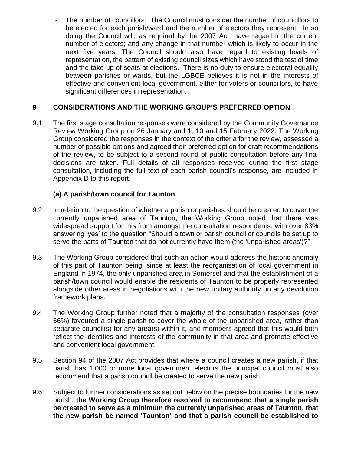The number of councillors: The Council must consider the number of councillors to be elected for each parish/ward and the number of electors they represent. In so doing the Council will, as required by the 2007 Act, have regard to the current number of electors; and any change in that number which is likely to occur in the next five years. The Council should also have regard to existing levels of representation, the pattern of existing council sizes which have stood the test of time and the take-up of seats at elections. There is no duty to ensure electoral equality between parishes or wards, but the LGBCE believes it is not in the interests of effective and convenient local government, either for voters or councillors, to have significant differences in representation.

## **9 CONSIDERATIONS AND THE WORKING GROUP'S PREFERRED OPTION**

9.1 The first stage consultation responses were considered by the Community Governance Review Working Group on 26 January and 1, 10 and 15 February 2022. The Working Group considered the responses in the context of the criteria for the review, assessed a number of possible options and agreed their preferred option for draft recommendations of the review, to be subject to a second round of public consultation before any final decisions are taken. Full details of all responses received during the first stage consultation, including the full text of each parish council's response, are included in Appendix D to this report.

## **(a) A parish/town council for Taunton**

- 9.2 In relation to the question of whether a parish or parishes should be created to cover the currently unparished area of Taunton, the Working Group noted that there was widespread support for this from amongst the consultation respondents, with over 83% answering 'yes' to the question "Should a town or parish council or councils be set up to serve the parts of Taunton that do not currently have them (the 'unparished areas')?"
- 9.3 The Working Group considered that such an action would address the historic anomaly of this part of Taunton being, since at least the reorganisation of local government in England in 1974, the only unparished area in Somerset and that the establishment of a parish/town council would enable the residents of Taunton to be properly represented alongside other areas in negotiations with the new unitary authority on any devolution framework plans.
- 9.4 The Working Group further noted that a majority of the consultation responses (over 66%) favoured a single parish to cover the whole of the unparished area, rather than separate council(s) for any area(s) within it, and members agreed that this would both reflect the identities and interests of the community in that area and promote effective and convenient local government.
- 9.5 Section 94 of the 2007 Act provides that where a council creates a new parish, if that parish has 1,000 or more local government electors the principal council must also recommend that a parish council be created to serve the new parish.
- 9.6 Subject to further considerations as set out below on the precise boundaries for the new parish, **the Working Group therefore resolved to recommend that a single parish be created to serve as a minimum the currently unparished areas of Taunton, that the new parish be named 'Taunton' and that a parish council be established to**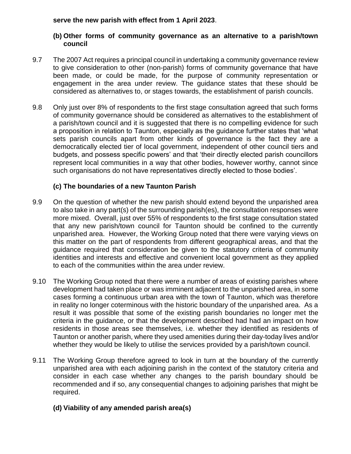**serve the new parish with effect from 1 April 2023**.

#### **(b) Other forms of community governance as an alternative to a parish/town council**

- 9.7 The 2007 Act requires a principal council in undertaking a community governance review to give consideration to other (non-parish) forms of community governance that have been made, or could be made, for the purpose of community representation or engagement in the area under review. The guidance states that these should be considered as alternatives to, or stages towards, the establishment of parish councils.
- 9.8 Only just over 8% of respondents to the first stage consultation agreed that such forms of community governance should be considered as alternatives to the establishment of a parish/town council and it is suggested that there is no compelling evidence for such a proposition in relation to Taunton, especially as the guidance further states that 'what sets parish councils apart from other kinds of governance is the fact they are a democratically elected tier of local government, independent of other council tiers and budgets, and possess specific powers' and that 'their directly elected parish councillors represent local communities in a way that other bodies, however worthy, cannot since such organisations do not have representatives directly elected to those bodies'.

## **(c) The boundaries of a new Taunton Parish**

- 9.9 On the question of whether the new parish should extend beyond the unparished area to also take in any part(s) of the surrounding parish(es), the consultation responses were more mixed. Overall, just over 55% of respondents to the first stage consultation stated that any new parish/town council for Taunton should be confined to the currently unparished area. However, the Working Group noted that there were varying views on this matter on the part of respondents from different geographical areas, and that the guidance required that consideration be given to the statutory criteria of community identities and interests and effective and convenient local government as they applied to each of the communities within the area under review.
- 9.10 The Working Group noted that there were a number of areas of existing parishes where development had taken place or was imminent adjacent to the unparished area, in some cases forming a continuous urban area with the town of Taunton, which was therefore in reality no longer coterminous with the historic boundary of the unparished area. As a result it was possible that some of the existing parish boundaries no longer met the criteria in the guidance, or that the development described had had an impact on how residents in those areas see themselves, i.e. whether they identified as residents of Taunton or another parish, where they used amenities during their day-today lives and/or whether they would be likely to utilise the services provided by a parish/town council.
- 9.11 The Working Group therefore agreed to look in turn at the boundary of the currently unparished area with each adjoining parish in the context of the statutory criteria and consider in each case whether any changes to the parish boundary should be recommended and if so, any consequential changes to adjoining parishes that might be required.

## **(d) Viability of any amended parish area(s)**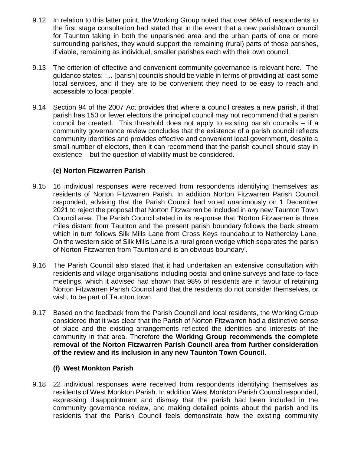- 9.12 In relation to this latter point, the Working Group noted that over 56% of respondents to the first stage consultation had stated that in the event that a new parish/town council for Taunton taking in both the unparished area and the urban parts of one or more surrounding parishes, they would support the remaining (rural) parts of those parishes, if viable, remaining as individual, smaller parishes each with their own council.
- 9.13 The criterion of effective and convenient community governance is relevant here. The guidance states: '… [parish] councils should be viable in terms of providing at least some local services, and if they are to be convenient they need to be easy to reach and accessible to local people'.
- 9.14 Section 94 of the 2007 Act provides that where a council creates a new parish, if that parish has 150 or fewer electors the principal council may not recommend that a parish council be created. This threshold does not apply to existing parish councils – if a community governance review concludes that the existence of a parish council reflects community identities and provides effective and convenient local government, despite a small number of electors, then it can recommend that the parish council should stay in existence – but the question of viability must be considered.

## **(e) Norton Fitzwarren Parish**

- 9.15 16 individual responses were received from respondents identifying themselves as residents of Norton Fitzwarren Parish. In addition Norton Fitzwarren Parish Council responded, advising that the Parish Council had voted unanimously on 1 December 2021 to reject the proposal that Norton Fitzwarren be included in any new Taunton Town Council area. The Parish Council stated in its response that 'Norton Fitzwarren is three miles distant from Taunton and the present parish boundary follows the back stream which in turn follows Silk Mills Lane from Cross Keys roundabout to Netherclay Lane. On the western side of Silk Mills Lane is a rural green wedge which separates the parish of Norton Fitzwarren from Taunton and is an obvious boundary'.
- 9.16 The Parish Council also stated that it had undertaken an extensive consultation with residents and village organisations including postal and online surveys and face-to-face meetings, which it advised had shown that 98% of residents are in favour of retaining Norton Fitzwarren Parish Council and that the residents do not consider themselves, or wish, to be part of Taunton town.
- 9.17 Based on the feedback from the Parish Council and local residents, the Working Group considered that it was clear that the Parish of Norton Fitzwarren had a distinctive sense of place and the existing arrangements reflected the identities and interests of the community in that area. Therefore **the Working Group recommends the complete removal of the Norton Fitzwarren Parish Council area from further consideration of the review and its inclusion in any new Taunton Town Council**.

## **(f) West Monkton Parish**

9.18 22 individual responses were received from respondents identifying themselves as residents of West Monkton Parish. In addition West Monkton Parish Council responded, expressing disappointment and dismay that the parish had been included in the community governance review, and making detailed points about the parish and its residents that the Parish Council feels demonstrate how the existing community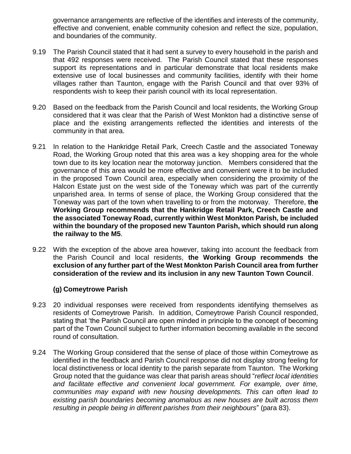governance arrangements are reflective of the identifies and interests of the community, effective and convenient, enable community cohesion and reflect the size, population, and boundaries of the community.

- 9.19 The Parish Council stated that it had sent a survey to every household in the parish and that 492 responses were received. The Parish Council stated that these responses support its representations and in particular demonstrate that local residents make extensive use of local businesses and community facilities, identify with their home villages rather than Taunton, engage with the Parish Council and that over 93% of respondents wish to keep their parish council with its local representation.
- 9.20 Based on the feedback from the Parish Council and local residents, the Working Group considered that it was clear that the Parish of West Monkton had a distinctive sense of place and the existing arrangements reflected the identities and interests of the community in that area.
- 9.21 In relation to the Hankridge Retail Park, Creech Castle and the associated Toneway Road, the Working Group noted that this area was a key shopping area for the whole town due to its key location near the motorway junction. Members considered that the governance of this area would be more effective and convenient were it to be included in the proposed Town Council area, especially when considering the proximity of the Halcon Estate just on the west side of the Toneway which was part of the currently unparished area. In terms of sense of place, the Working Group considered that the Toneway was part of the town when travelling to or from the motorway. Therefore, **the Working Group recommends that the Hankridge Retail Park, Creech Castle and the associated Toneway Road, currently within West Monkton Parish, be included within the boundary of the proposed new Taunton Parish, which should run along the railway to the M5**.
- 9.22 With the exception of the above area however, taking into account the feedback from the Parish Council and local residents, **the Working Group recommends the exclusion of any further part of the West Monkton Parish Council area from further consideration of the review and its inclusion in any new Taunton Town Council**.

## **(g) Comeytrowe Parish**

- 9.23 20 individual responses were received from respondents identifying themselves as residents of Comeytrowe Parish. In addition, Comeytrowe Parish Council responded, stating that 'the Parish Council are open minded in principle to the concept of becoming part of the Town Council subject to further information becoming available in the second round of consultation.
- 9.24 The Working Group considered that the sense of place of those within Comeytrowe as identified in the feedback and Parish Council response did not display strong feeling for local distinctiveness or local identity to the parish separate from Taunton. The Working Group noted that the guidance was clear that parish areas should "*reflect local identities and facilitate effective and convenient local government. For example, over time, communities may expand with new housing developments. This can often lead to existing parish boundaries becoming anomalous as new houses are built across them resulting in people being in different parishes from their neighbours*" (para 83).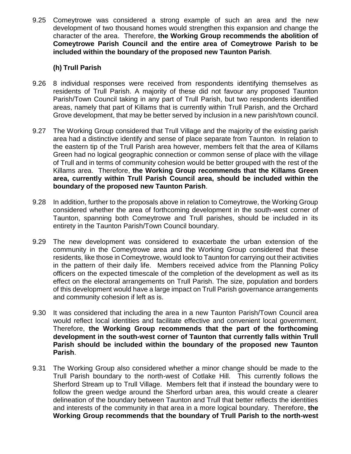9.25 Comeytrowe was considered a strong example of such an area and the new development of two thousand homes would strengthen this expansion and change the character of the area. Therefore, **the Working Group recommends the abolition of Comeytrowe Parish Council and the entire area of Comeytrowe Parish to be included within the boundary of the proposed new Taunton Parish**.

## **(h) Trull Parish**

- 9.26 8 individual responses were received from respondents identifying themselves as residents of Trull Parish. A majority of these did not favour any proposed Taunton Parish/Town Council taking in any part of Trull Parish, but two respondents identified areas, namely that part of Killams that is currently within Trull Parish, and the Orchard Grove development, that may be better served by inclusion in a new parish/town council.
- 9.27 The Working Group considered that Trull Village and the majority of the existing parish area had a distinctive identify and sense of place separate from Taunton. In relation to the eastern tip of the Trull Parish area however, members felt that the area of Killams Green had no logical geographic connection or common sense of place with the village of Trull and in terms of community cohesion would be better grouped with the rest of the Killams area. Therefore, **the Working Group recommends that the Killams Green area, currently within Trull Parish Council area, should be included within the boundary of the proposed new Taunton Parish**.
- 9.28 In addition, further to the proposals above in relation to Comeytrowe, the Working Group considered whether the area of forthcoming development in the south-west corner of Taunton, spanning both Comeytrowe and Trull parishes, should be included in its entirety in the Taunton Parish/Town Council boundary.
- 9.29 The new development was considered to exacerbate the urban extension of the community in the Comeytrowe area and the Working Group considered that these residents, like those in Comeytrowe, would look to Taunton for carrying out their activities in the pattern of their daily life. Members received advice from the Planning Policy officers on the expected timescale of the completion of the development as well as its effect on the electoral arrangements on Trull Parish. The size, population and borders of this development would have a large impact on Trull Parish governance arrangements and community cohesion if left as is.
- 9.30 It was considered that including the area in a new Taunton Parish/Town Council area would reflect local identities and facilitate effective and convenient local government. Therefore, **the Working Group recommends that the part of the forthcoming development in the south-west corner of Taunton that currently falls within Trull Parish should be included within the boundary of the proposed new Taunton Parish**.
- 9.31 The Working Group also considered whether a minor change should be made to the Trull Parish boundary to the north-west of Cotlake Hill. This currently follows the Sherford Stream up to Trull Village. Members felt that if instead the boundary were to follow the green wedge around the Sherford urban area, this would create a clearer delineation of the boundary between Taunton and Trull that better reflects the identities and interests of the community in that area in a more logical boundary. Therefore, **the Working Group recommends that the boundary of Trull Parish to the north-west**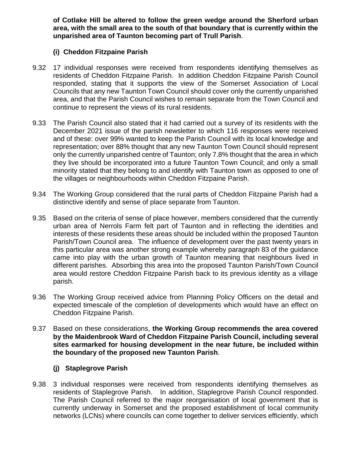**of Cotlake Hill be altered to follow the green wedge around the Sherford urban area, with the small area to the south of that boundary that is currently within the unparished area of Taunton becoming part of Trull Parish**.

## **(i) Cheddon Fitzpaine Parish**

- 9.32 17 individual responses were received from respondents identifying themselves as residents of Cheddon Fitzpaine Parish. In addition Cheddon Fitzpaine Parish Council responded, stating that it supports the view of the Somerset Association of Local Councils that any new Taunton Town Council should cover only the currently unparished area, and that the Parish Council wishes to remain separate from the Town Council and continue to represent the views of its rural residents.
- 9.33 The Parish Council also stated that it had carried out a survey of its residents with the December 2021 issue of the parish newsletter to which 116 responses were received and of these: over 99% wanted to keep the Parish Council with its local knowledge and representation; over 88% thought that any new Taunton Town Council should represent only the currently unparished centre of Taunton; only 7.8% thought that the area in which they live should be incorporated into a future Taunton Town Council; and only a small minority stated that they belong to and identify with Taunton town as opposed to one of the villages or neighbourhoods within Cheddon Fitzpaine Parish.
- 9.34 The Working Group considered that the rural parts of Cheddon Fitzpaine Parish had a distinctive identify and sense of place separate from Taunton.
- 9.35 Based on the criteria of sense of place however, members considered that the currently urban area of Nerrols Farm felt part of Taunton and in reflecting the identities and interests of these residents these areas should be included within the proposed Taunton Parish/Town Council area. The influence of development over the past twenty years in this particular area was another strong example whereby paragraph 83 of the guidance came into play with the urban growth of Taunton meaning that neighbours lived in different parishes. Absorbing this area into the proposed Taunton Parish/Town Council area would restore Cheddon Fitzpaine Parish back to its previous identity as a village parish.
- 9.36 The Working Group received advice from Planning Policy Officers on the detail and expected timescale of the completion of developments which would have an effect on Cheddon Fitzpaine Parish.
- 9.37 Based on these considerations, **the Working Group recommends the area covered by the Maidenbrook Ward of Cheddon Fitzpaine Parish Council, including several sites earmarked for housing development in the near future, be included within the boundary of the proposed new Taunton Parish**.

## **(j) Staplegrove Parish**

9.38 3 individual responses were received from respondents identifying themselves as residents of Staplegrove Parish. In addition, Staplegrove Parish Council responded. The Parish Council referred to the major reorganisation of local government that is currently underway in Somerset and the proposed establishment of local community networks (LCNs) where councils can come together to deliver services efficiently, which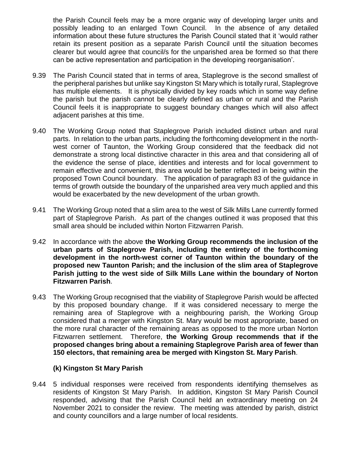the Parish Council feels may be a more organic way of developing larger units and possibly leading to an enlarged Town Council. In the absence of any detailed information about these future structures the Parish Council stated that it 'would rather retain its present position as a separate Parish Council until the situation becomes clearer but would agree that council/s for the unparished area be formed so that there can be active representation and participation in the developing reorganisation'.

- 9.39 The Parish Council stated that in terms of area, Staplegrove is the second smallest of the peripheral parishes but unlike say Kingston St Mary which is totally rural, Staplegrove has multiple elements. It is physically divided by key roads which in some way define the parish but the parish cannot be clearly defined as urban or rural and the Parish Council feels it is inappropriate to suggest boundary changes which will also affect adjacent parishes at this time.
- 9.40 The Working Group noted that Staplegrove Parish included distinct urban and rural parts. In relation to the urban parts, including the forthcoming development in the northwest corner of Taunton, the Working Group considered that the feedback did not demonstrate a strong local distinctive character in this area and that considering all of the evidence the sense of place, identities and interests and for local government to remain effective and convenient, this area would be better reflected in being within the proposed Town Council boundary. The application of paragraph 83 of the guidance in terms of growth outside the boundary of the unparished area very much applied and this would be exacerbated by the new development of the urban growth.
- 9.41 The Working Group noted that a slim area to the west of Silk Mills Lane currently formed part of Staplegrove Parish. As part of the changes outlined it was proposed that this small area should be included within Norton Fitzwarren Parish.
- 9.42 In accordance with the above **the Working Group recommends the inclusion of the urban parts of Staplegrove Parish, including the entirety of the forthcoming development in the north-west corner of Taunton within the boundary of the proposed new Taunton Parish; and the inclusion of the slim area of Staplegrove Parish jutting to the west side of Silk Mills Lane within the boundary of Norton Fitzwarren Parish**.
- 9.43 The Working Group recognised that the viability of Staplegrove Parish would be affected by this proposed boundary change. If it was considered necessary to merge the remaining area of Staplegrove with a neighbouring parish, the Working Group considered that a merger with Kingston St. Mary would be most appropriate, based on the more rural character of the remaining areas as opposed to the more urban Norton Fitzwarren settlement. Therefore, **the Working Group recommends that if the proposed changes bring about a remaining Staplegrove Parish area of fewer than 150 electors, that remaining area be merged with Kingston St. Mary Parish**.

## **(k) Kingston St Mary Parish**

9.44 5 individual responses were received from respondents identifying themselves as residents of Kingston St Mary Parish. In addition, Kingston St Mary Parish Council responded, advising that the Parish Council held an extraordinary meeting on 24 November 2021 to consider the review. The meeting was attended by parish, district and county councillors and a large number of local residents.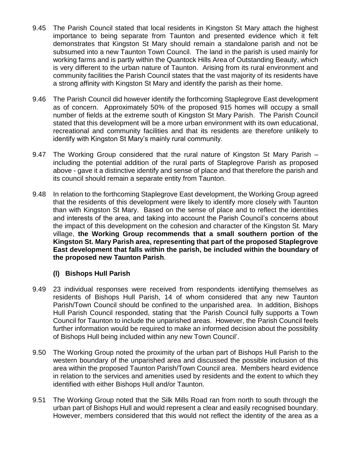- 9.45 The Parish Council stated that local residents in Kingston St Mary attach the highest importance to being separate from Taunton and presented evidence which it felt demonstrates that Kingston St Mary should remain a standalone parish and not be subsumed into a new Taunton Town Council. The land in the parish is used mainly for working farms and is partly within the Quantock Hills Area of Outstanding Beauty, which is very different to the urban nature of Taunton. Arising from its rural environment and community facilities the Parish Council states that the vast majority of its residents have a strong affinity with Kingston St Mary and identify the parish as their home.
- 9.46 The Parish Council did however identify the forthcoming Staplegrove East development as of concern. Approximately 50% of the proposed 915 homes will occupy a small number of fields at the extreme south of Kingston St Mary Parish. The Parish Council stated that this development will be a more urban environment with its own educational, recreational and community facilities and that its residents are therefore unlikely to identify with Kingston St Mary's mainly rural community.
- 9.47 The Working Group considered that the rural nature of Kingston St Mary Parish including the potential addition of the rural parts of Staplegrove Parish as proposed above - gave it a distinctive identify and sense of place and that therefore the parish and its council should remain a separate entity from Taunton.
- 9.48 In relation to the forthcoming Staplegrove East development, the Working Group agreed that the residents of this development were likely to identify more closely with Taunton than with Kingston St Mary. Based on the sense of place and to reflect the identities and interests of the area, and taking into account the Parish Council's concerns about the impact of this development on the cohesion and character of the Kingston St. Mary village, **the Working Group recommends that a small southern portion of the Kingston St. Mary Parish area, representing that part of the proposed Staplegrove East development that falls within the parish, be included within the boundary of the proposed new Taunton Parish**.

## **(l) Bishops Hull Parish**

- 9.49 23 individual responses were received from respondents identifying themselves as residents of Bishops Hull Parish, 14 of whom considered that any new Taunton Parish/Town Council should be confined to the unparished area. In addition, Bishops Hull Parish Council responded, stating that 'the Parish Council fully supports a Town Council for Taunton to include the unparished areas. However, the Parish Council feels further information would be required to make an informed decision about the possibility of Bishops Hull being included within any new Town Council'.
- 9.50 The Working Group noted the proximity of the urban part of Bishops Hull Parish to the western boundary of the unparished area and discussed the possible inclusion of this area within the proposed Taunton Parish/Town Council area. Members heard evidence in relation to the services and amenities used by residents and the extent to which they identified with either Bishops Hull and/or Taunton.
- 9.51 The Working Group noted that the Silk Mills Road ran from north to south through the urban part of Bishops Hull and would represent a clear and easily recognised boundary. However, members considered that this would not reflect the identity of the area as a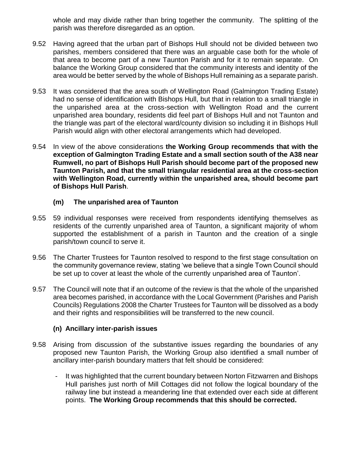whole and may divide rather than bring together the community. The splitting of the parish was therefore disregarded as an option.

- 9.52 Having agreed that the urban part of Bishops Hull should not be divided between two parishes, members considered that there was an arguable case both for the whole of that area to become part of a new Taunton Parish and for it to remain separate. On balance the Working Group considered that the community interests and identity of the area would be better served by the whole of Bishops Hull remaining as a separate parish.
- 9.53 It was considered that the area south of Wellington Road (Galmington Trading Estate) had no sense of identification with Bishops Hull, but that in relation to a small triangle in the unparished area at the cross-section with Wellington Road and the current unparished area boundary, residents did feel part of Bishops Hull and not Taunton and the triangle was part of the electoral ward/county division so including it in Bishops Hull Parish would align with other electoral arrangements which had developed.
- 9.54 In view of the above considerations **the Working Group recommends that with the exception of Galmington Trading Estate and a small section south of the A38 near Rumwell, no part of Bishops Hull Parish should become part of the proposed new Taunton Parish, and that the small triangular residential area at the cross-section with Wellington Road, currently within the unparished area, should become part of Bishops Hull Parish**.

## **(m) The unparished area of Taunton**

- 9.55 59 individual responses were received from respondents identifying themselves as residents of the currently unparished area of Taunton, a significant majority of whom supported the establishment of a parish in Taunton and the creation of a single parish/town council to serve it.
- 9.56 The Charter Trustees for Taunton resolved to respond to the first stage consultation on the community governance review, stating 'we believe that a single Town Council should be set up to cover at least the whole of the currently unparished area of Taunton'.
- 9.57 The Council will note that if an outcome of the review is that the whole of the unparished area becomes parished, in accordance with the Local Government (Parishes and Parish Councils) Regulations 2008 the Charter Trustees for Taunton will be dissolved as a body and their rights and responsibilities will be transferred to the new council.

## **(n) Ancillary inter-parish issues**

- 9.58 Arising from discussion of the substantive issues regarding the boundaries of any proposed new Taunton Parish, the Working Group also identified a small number of ancillary inter-parish boundary matters that felt should be considered:
	- It was highlighted that the current boundary between Norton Fitzwarren and Bishops Hull parishes just north of Mill Cottages did not follow the logical boundary of the railway line but instead a meandering line that extended over each side at different points. **The Working Group recommends that this should be corrected.**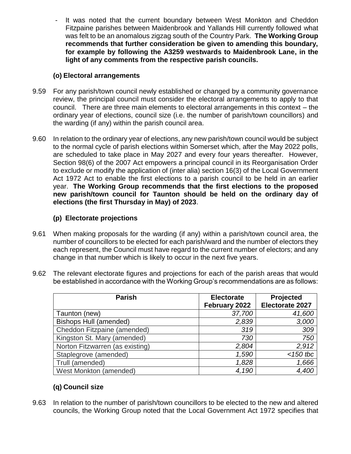It was noted that the current boundary between West Monkton and Cheddon Fitzpaine parishes between Maidenbrook and Yallands Hill currently followed what was felt to be an anomalous zigzag south of the Country Park. **The Working Group recommends that further consideration be given to amending this boundary, for example by following the A3259 westwards to Maidenbrook Lane, in the light of any comments from the respective parish councils.**

## **(o) Electoral arrangements**

- 9.59 For any parish/town council newly established or changed by a community governance review, the principal council must consider the electoral arrangements to apply to that council. There are three main elements to electoral arrangements in this context – the ordinary year of elections, council size (i.e. the number of parish/town councillors) and the warding (if any) within the parish council area.
- 9.60 In relation to the ordinary year of elections, any new parish/town council would be subject to the normal cycle of parish elections within Somerset which, after the May 2022 polls, are scheduled to take place in May 2027 and every four years thereafter. However, Section 98(6) of the 2007 Act empowers a principal council in its Reorganisation Order to exclude or modify the application of (inter alia) section 16(3) of the Local Government Act 1972 Act to enable the first elections to a parish council to be held in an earlier year. **The Working Group recommends that the first elections to the proposed new parish/town council for Taunton should be held on the ordinary day of elections (the first Thursday in May) of 2023**.

## **(p) Electorate projections**

- 9.61 When making proposals for the warding (if any) within a parish/town council area, the number of councillors to be elected for each parish/ward and the number of electors they each represent, the Council must have regard to the current number of electors; and any change in that number which is likely to occur in the next five years.
- 9.62 The relevant electorate figures and projections for each of the parish areas that would be established in accordance with the Working Group's recommendations are as follows:

| <b>Parish</b>                   | <b>Electorate</b> | Projected       |
|---------------------------------|-------------------|-----------------|
|                                 | February 2022     | Electorate 2027 |
| Taunton (new)                   | 37,700            | 41,600          |
| <b>Bishops Hull (amended)</b>   | 2,839             | 3,000           |
| Cheddon Fitzpaine (amended)     | 319               | 309             |
| Kingston St. Mary (amended)     | 730               | 750             |
| Norton Fitzwarren (as existing) | 2,804             | 2,912           |
| Staplegrove (amended)           | 1,590             | $<$ 150 tbc     |
| Trull (amended)                 | 1,828             | 1,666           |
| West Monkton (amended)          | 4,190             | 4,400           |

## **(q) Council size**

9.63 In relation to the number of parish/town councillors to be elected to the new and altered councils, the Working Group noted that the Local Government Act 1972 specifies that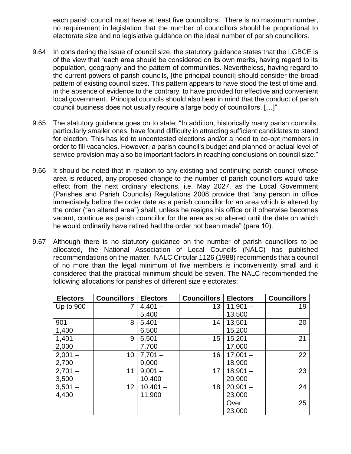each parish council must have at least five councillors. There is no maximum number, no requirement in legislation that the number of councillors should be proportional to electorate size and no legislative guidance on the ideal number of parish councillors.

- 9.64 In considering the issue of council size, the statutory guidance states that the LGBCE is of the view that "each area should be considered on its own merits, having regard to its population, geography and the pattern of communities. Nevertheless, having regard to the current powers of parish councils, [the principal council] should consider the broad pattern of existing council sizes. This pattern appears to have stood the test of time and, in the absence of evidence to the contrary, to have provided for effective and convenient local government. Principal councils should also bear in mind that the conduct of parish council business does not usually require a large body of councillors. […]"
- 9.65 The statutory guidance goes on to state: "In addition, historically many parish councils, particularly smaller ones, have found difficulty in attracting sufficient candidates to stand for election. This has led to uncontested elections and/or a need to co-opt members in order to fill vacancies. However, a parish council's budget and planned or actual level of service provision may also be important factors in reaching conclusions on council size."
- 9.66 It should be noted that in relation to any existing and continuing parish council whose area is reduced, any proposed change to the number of parish councillors would take effect from the next ordinary elections, i.e. May 2027, as the Local Government (Parishes and Parish Councils) Regulations 2008 provide that "any person in office immediately before the order date as a parish councillor for an area which is altered by the order ("an altered area") shall, unless he resigns his office or it otherwise becomes vacant, continue as parish councillor for the area as so altered until the date on which he would ordinarily have retired had the order not been made" (para 10).
- 9.67 Although there is no statutory guidance on the number of parish councillors to be allocated, the National Association of Local Councils (NALC) has published recommendations on the matter. NALC Circular 1126 (1988) recommends that a council of no more than the legal minimum of five members is inconveniently small and it considered that the practical minimum should be seven. The NALC recommended the following allocations for parishes of different size electorates:

| <b>Electors</b> | <b>Councillors</b> | <b>Electors</b> | <b>Councillors</b> | <b>Electors</b> | <b>Councillors</b> |
|-----------------|--------------------|-----------------|--------------------|-----------------|--------------------|
| Up to 900       |                    | $4,401 -$       | 13                 | $11,901 -$      | 19                 |
|                 |                    | 5,400           |                    | 13,500          |                    |
| $901 -$         | 8                  | $5,401 -$       | 14                 | $13,501 -$      | 20                 |
| 1,400           |                    | 6,500           |                    | 15,200          |                    |
| $1,401 -$       | 9                  | $6,501 -$       | 15                 | $15,201 -$      | 21                 |
| 2,000           |                    | 7,700           |                    | 17,000          |                    |
| $2,001 -$       | 10                 | $7,701 -$       | 16                 | $17,001 -$      | 22                 |
| 2,700           |                    | 9,000           |                    | 18,900          |                    |
| $2,701 -$       | 11                 | $9,001 -$       | 17                 | $18,901 -$      | 23                 |
| 3,500           |                    | 10,400          |                    | 20,900          |                    |
| $3,501 -$       | 12 <sup>2</sup>    | $10,401 -$      | 18                 | $20,901 -$      | 24                 |
| 4,400           |                    | 11,900          |                    | 23,000          |                    |
|                 |                    |                 |                    | Over            | 25                 |
|                 |                    |                 |                    | 23,000          |                    |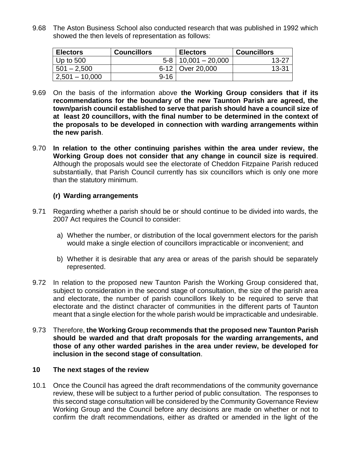9.68 The Aston Business School also conducted research that was published in 1992 which showed the then levels of representation as follows:

| <b>Electors</b>  | <b>Councillors</b> | <b>Electors</b>           | <b>Councillors</b> |
|------------------|--------------------|---------------------------|--------------------|
| Up to $500$      |                    | $5-8$   10,001 $-$ 20,000 | $13 - 27$          |
| $501 - 2,500$    |                    | 6-12   Over 20,000        | $13 - 31$          |
| $2,501 - 10,000$ | $9 - 16$           |                           |                    |

- 9.69 On the basis of the information above **the Working Group considers that if its recommendations for the boundary of the new Taunton Parish are agreed, the town/parish council established to serve that parish should have a council size of at least 20 councillors, with the final number to be determined in the context of the proposals to be developed in connection with warding arrangements within the new parish**.
- 9.70 **In relation to the other continuing parishes within the area under review, the Working Group does not consider that any change in council size is required**. Although the proposals would see the electorate of Cheddon Fitzpaine Parish reduced substantially, that Parish Council currently has six councillors which is only one more than the statutory minimum.

## **(r) Warding arrangements**

- 9.71 Regarding whether a parish should be or should continue to be divided into wards, the 2007 Act requires the Council to consider:
	- a) Whether the number, or distribution of the local government electors for the parish would make a single election of councillors impracticable or inconvenient; and
	- b) Whether it is desirable that any area or areas of the parish should be separately represented.
- 9.72 In relation to the proposed new Taunton Parish the Working Group considered that, subject to consideration in the second stage of consultation, the size of the parish area and electorate, the number of parish councillors likely to be required to serve that electorate and the distinct character of communities in the different parts of Taunton meant that a single election for the whole parish would be impracticable and undesirable.
- 9.73 Therefore, **the Working Group recommends that the proposed new Taunton Parish should be warded and that draft proposals for the warding arrangements, and those of any other warded parishes in the area under review, be developed for inclusion in the second stage of consultation**.

## **10 The next stages of the review**

10.1 Once the Council has agreed the draft recommendations of the community governance review, these will be subject to a further period of public consultation. The responses to this second stage consultation will be considered by the Community Governance Review Working Group and the Council before any decisions are made on whether or not to confirm the draft recommendations, either as drafted or amended in the light of the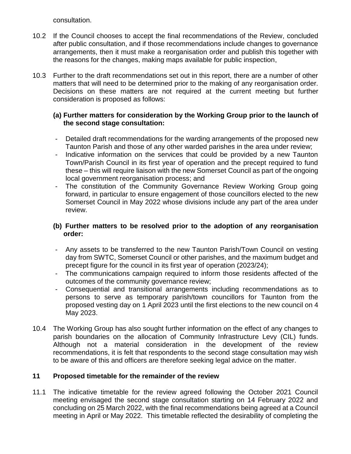consultation.

- 10.2 If the Council chooses to accept the final recommendations of the Review, concluded after public consultation, and if those recommendations include changes to governance arrangements, then it must make a reorganisation order and publish this together with the reasons for the changes, making maps available for public inspection,
- 10.3 Further to the draft recommendations set out in this report, there are a number of other matters that will need to be determined prior to the making of any reorganisation order. Decisions on these matters are not required at the current meeting but further consideration is proposed as follows:

## **(a) Further matters for consideration by the Working Group prior to the launch of the second stage consultation:**

- Detailed draft recommendations for the warding arrangements of the proposed new Taunton Parish and those of any other warded parishes in the area under review;
- Indicative information on the services that could be provided by a new Taunton Town/Parish Council in its first year of operation and the precept required to fund these – this will require liaison with the new Somerset Council as part of the ongoing local government reorganisation process; and
- The constitution of the Community Governance Review Working Group going forward, in particular to ensure engagement of those councillors elected to the new Somerset Council in May 2022 whose divisions include any part of the area under review.

## **(b) Further matters to be resolved prior to the adoption of any reorganisation order:**

- Any assets to be transferred to the new Taunton Parish/Town Council on vesting day from SWTC, Somerset Council or other parishes, and the maximum budget and precept figure for the council in its first year of operation (2023/24);
- The communications campaign required to inform those residents affected of the outcomes of the community governance review;
- Consequential and transitional arrangements including recommendations as to persons to serve as temporary parish/town councillors for Taunton from the proposed vesting day on 1 April 2023 until the first elections to the new council on 4 May 2023.
- 10.4 The Working Group has also sought further information on the effect of any changes to parish boundaries on the allocation of Community Infrastructure Levy (CIL) funds. Although not a material consideration in the development of the review recommendations, it is felt that respondents to the second stage consultation may wish to be aware of this and officers are therefore seeking legal advice on the matter.

## **11 Proposed timetable for the remainder of the review**

11.1 The indicative timetable for the review agreed following the October 2021 Council meeting envisaged the second stage consultation starting on 14 February 2022 and concluding on 25 March 2022, with the final recommendations being agreed at a Council meeting in April or May 2022. This timetable reflected the desirability of completing the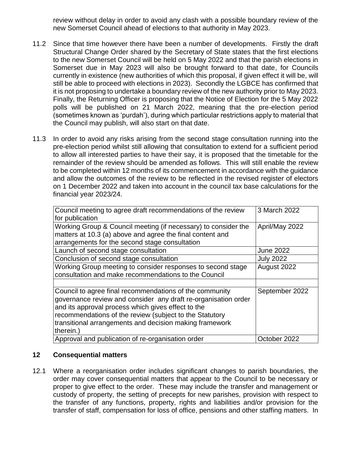review without delay in order to avoid any clash with a possible boundary review of the new Somerset Council ahead of elections to that authority in May 2023.

- 11.2 Since that time however there have been a number of developments. Firstly the draft Structural Change Order shared by the Secretary of State states that the first elections to the new Somerset Council will be held on 5 May 2022 and that the parish elections in Somerset due in May 2023 will also be brought forward to that date, for Councils currently in existence (new authorities of which this proposal, if given effect it will be, will still be able to proceed with elections in 2023). Secondly the LGBCE has confirmed that it is not proposing to undertake a boundary review of the new authority prior to May 2023. Finally, the Returning Officer is proposing that the Notice of Election for the 5 May 2022 polls will be published on 21 March 2022, meaning that the pre-election period (sometimes known as 'purdah'), during which particular restrictions apply to material that the Council may publish, will also start on that date.
- 11.3 In order to avoid any risks arising from the second stage consultation running into the pre-election period whilst still allowing that consultation to extend for a sufficient period to allow all interested parties to have their say, it is proposed that the timetable for the remainder of the review should be amended as follows. This will still enable the review to be completed within 12 months of its commencement in accordance with the guidance and allow the outcomes of the review to be reflected in the revised register of electors on 1 December 2022 and taken into account in the council tax base calculations for the financial year 2023/24.

| Council meeting to agree draft recommendations of the review<br>for publication                                                                                                                                                                                                                                    | 3 March 2022     |
|--------------------------------------------------------------------------------------------------------------------------------------------------------------------------------------------------------------------------------------------------------------------------------------------------------------------|------------------|
| Working Group & Council meeting (if necessary) to consider the<br>matters at 10.3 (a) above and agree the final content and<br>arrangements for the second stage consultation                                                                                                                                      | April/May 2022   |
| Launch of second stage consultation                                                                                                                                                                                                                                                                                | <b>June 2022</b> |
| Conclusion of second stage consultation                                                                                                                                                                                                                                                                            | <b>July 2022</b> |
| Working Group meeting to consider responses to second stage<br>consultation and make recommendations to the Council                                                                                                                                                                                                | August 2022      |
|                                                                                                                                                                                                                                                                                                                    |                  |
| Council to agree final recommendations of the community<br>governance review and consider any draft re-organisation order<br>and its approval process which gives effect to the<br>recommendations of the review (subject to the Statutory<br>transitional arrangements and decision making framework<br>therein.) | September 2022   |
| Approval and publication of re-organisation order                                                                                                                                                                                                                                                                  | October 2022     |

## **12 Consequential matters**

12.1 Where a reorganisation order includes significant changes to parish boundaries, the order may cover consequential matters that appear to the Council to be necessary or proper to give effect to the order. These may include the transfer and management or custody of property, the setting of precepts for new parishes, provision with respect to the transfer of any functions, property, rights and liabilities and/or provision for the transfer of staff, compensation for loss of office, pensions and other staffing matters. In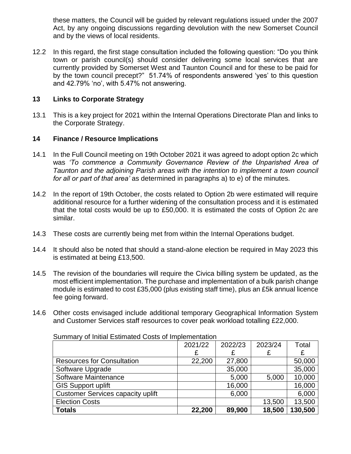these matters, the Council will be guided by relevant regulations issued under the 2007 Act, by any ongoing discussions regarding devolution with the new Somerset Council and by the views of local residents.

12.2 In this regard, the first stage consultation included the following question: "Do you think town or parish council(s) should consider delivering some local services that are currently provided by Somerset West and Taunton Council and for these to be paid for by the town council precept?" 51.74% of respondents answered 'yes' to this question and 42.79% 'no', with 5.47% not answering.

## **13 Links to Corporate Strategy**

13.1 This is a key project for 2021 within the Internal Operations Directorate Plan and links to the Corporate Strategy.

## **14 Finance / Resource Implications**

- 14.1 In the Full Council meeting on 19th October 2021 it was agreed to adopt option 2c which was *'To commence a Community Governance Review of the Unparished Area of Taunton and the adjoining Parish areas with the intention to implement a town council for all or part of that area'* as determined in paragraphs a) to e) of the minutes.
- 14.2 In the report of 19th October, the costs related to Option 2b were estimated will require additional resource for a further widening of the consultation process and it is estimated that the total costs would be up to £50,000. It is estimated the costs of Option 2c are similar.
- 14.3 These costs are currently being met from within the Internal Operations budget.
- 14.4 It should also be noted that should a stand-alone election be required in May 2023 this is estimated at being £13,500.
- 14.5 The revision of the boundaries will require the Civica billing system be updated, as the most efficient implementation. The purchase and implementation of a bulk parish change module is estimated to cost £35,000 (plus existing staff time), plus an £5k annual licence fee going forward.
- 14.6 Other costs envisaged include additional temporary Geographical Information System and Customer Services staff resources to cover peak workload totalling £22,000.

|                                          | 2021/22 | 2022/23 | 2023/24 | Total   |
|------------------------------------------|---------|---------|---------|---------|
|                                          | £       |         |         | £       |
| <b>Resources for Consultation</b>        | 22,200  | 27,800  |         | 50,000  |
| Software Upgrade                         |         | 35,000  |         | 35,000  |
| Software Maintenance                     |         | 5,000   | 5,000   | 10,000  |
| <b>GIS Support uplift</b>                |         | 16,000  |         | 16,000  |
| <b>Customer Services capacity uplift</b> |         | 6,000   |         | 6,000   |
| <b>Election Costs</b>                    |         |         | 13,500  | 13,500  |
| <b>Totals</b>                            | 22,200  | 89,900  | 18,500  | 130,500 |

Summary of Initial Estimated Costs of Implementation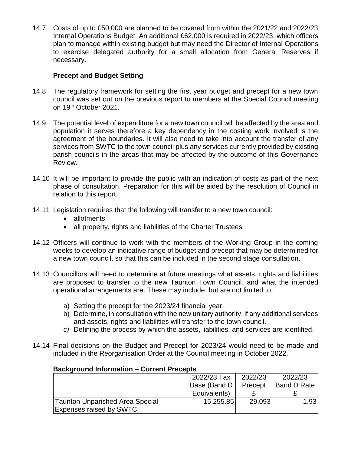14.7 Costs of up to £50,000 are planned to be covered from within the 2021/22 and 2022/23 Internal Operations Budget. An additional £62,000 is required in 2022/23, which officers plan to manage within existing budget but may need the Director of Internal Operations to exercise delegated authority for a small allocation from General Reserves if necessary.

## **Precept and Budget Setting**

- 14.8 The regulatory framework for setting the first year budget and precept for a new town council was set out on the previous report to members at the Special Council meeting on 19<sup>th</sup> October 2021.
- 14.9 The potential level of expenditure for a new town council will be affected by the area and population it serves therefore a key dependency in the costing work involved is the agreement of the boundaries. It will also need to take into account the transfer of any services from SWTC to the town council plus any services currently provided by existing parish councils in the areas that may be affected by the outcome of this Governance Review.
- 14.10 It will be important to provide the public with an indication of costs as part of the next phase of consultation. Preparation for this will be aided by the resolution of Council in relation to this report.
- 14.11 Legislation requires that the following will transfer to a new town council:
	- allotments
	- all property, rights and liabilities of the Charter Trustees
- 14.12 Officers will continue to work with the members of the Working Group in the coming weeks to develop an indicative range of budget and precept that may be determined for a new town council, so that this can be included in the second stage consultation.
- 14.13 Councillors will need to determine at future meetings what assets, rights and liabilities are proposed to transfer to the new Taunton Town Council, and what the intended operational arrangements are. These may include, but are not limited to:
	- a) Setting the precept for the 2023/24 financial year.
	- b) Determine, in consultation with the new unitary authority, if any additional services and assets, rights and liabilities will transfer to the town council.
	- *c)* Defining the process by which the assets, liabilities, and services are identified.
- 14.14 Final decisions on the Budget and Precept for 2023/24 would need to be made and included in the Reorganisation Order at the Council meeting in October 2022.

## **Background Information – Current Precepts**

|                                 | 2022/23 Tax  | 2022/23 | 2022/23            |
|---------------------------------|--------------|---------|--------------------|
|                                 | Base (Band D | Precept | <b>Band D Rate</b> |
|                                 | Equivalents) |         |                    |
| Taunton Unparished Area Special | 15,255.85    | 29,093  | 1.93               |
| <b>Expenses raised by SWTC</b>  |              |         |                    |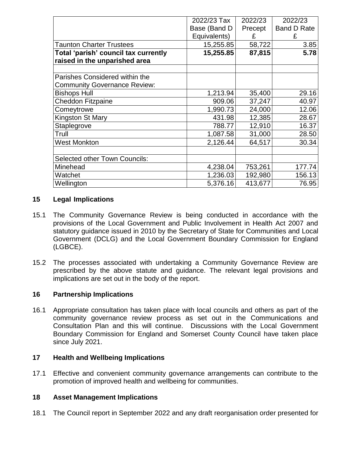|                                      | 2022/23 Tax  | 2022/23 | 2022/23            |
|--------------------------------------|--------------|---------|--------------------|
|                                      | Base (Band D | Precept | <b>Band D Rate</b> |
|                                      | Equivalents) | £       | £                  |
| <b>Taunton Charter Trustees</b>      | 15,255.85    | 58,722  | 3.85               |
| Total 'parish' council tax currently | 15,255.85    | 87,815  | 5.78               |
| raised in the unparished area        |              |         |                    |
|                                      |              |         |                    |
| Parishes Considered within the       |              |         |                    |
| <b>Community Governance Review:</b>  |              |         |                    |
| <b>Bishops Hull</b>                  | 1,213.94     | 35,400  | 29.16              |
| <b>Cheddon Fitzpaine</b>             | 909.06       | 37,247  | 40.97              |
| Comeytrowe                           | 1,990.73     | 24,000  | 12.06              |
| Kingston St Mary                     | 431.98       | 12,385  | 28.67              |
| Staplegrove                          | 788.77       | 12,910  | 16.37              |
| Trull                                | 1,087.58     | 31,000  | 28.50              |
| <b>West Monkton</b>                  | 2,126.44     | 64,517  | 30.34              |
|                                      |              |         |                    |
| <b>Selected other Town Councils:</b> |              |         |                    |
| Minehead                             | 4,238.04     | 753,261 | 177.74             |
| Watchet                              | 1,236.03     | 192,980 | 156.13             |
| Wellington                           | 5,376.16     | 413,677 | 76.95              |

## **15 Legal Implications**

- 15.1 The Community Governance Review is being conducted in accordance with the provisions of the Local Government and Public Involvement in Health Act 2007 and statutory guidance issued in 2010 by the Secretary of State for Communities and Local Government (DCLG) and the Local Government Boundary Commission for England (LGBCE).
- 15.2 The processes associated with undertaking a Community Governance Review are prescribed by the above statute and guidance. The relevant legal provisions and implications are set out in the body of the report.

## **16 Partnership Implications**

16.1 Appropriate consultation has taken place with local councils and others as part of the community governance review process as set out in the Communications and Consultation Plan and this will continue. Discussions with the Local Government Boundary Commission for England and Somerset County Council have taken place since July 2021.

## **17 Health and Wellbeing Implications**

17.1 Effective and convenient community governance arrangements can contribute to the promotion of improved health and wellbeing for communities.

## **18 Asset Management Implications**

18.1 The Council report in September 2022 and any draft reorganisation order presented for